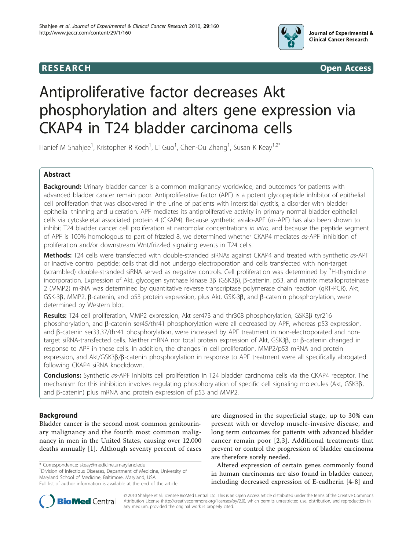





# Antiproliferative factor decreases Akt phosphorylation and alters gene expression via CKAP4 in T24 bladder carcinoma cells

Hanief M Shahjee<sup>1</sup>, Kristopher R Koch<sup>1</sup>, Li Guo<sup>1</sup>, Chen-Ou Zhang<sup>1</sup>, Susan K Keay<sup>1,2\*</sup>

# Abstract

Background: Urinary bladder cancer is a common malignancy worldwide, and outcomes for patients with advanced bladder cancer remain poor. Antiproliferative factor (APF) is a potent glycopeptide inhibitor of epithelial cell proliferation that was discovered in the urine of patients with interstitial cystitis, a disorder with bladder epithelial thinning and ulceration. APF mediates its antiproliferative activity in primary normal bladder epithelial cells via cytoskeletal associated protein 4 (CKAP4). Because synthetic asialo-APF (as-APF) has also been shown to inhibit T24 bladder cancer cell proliferation at nanomolar concentrations in vitro, and because the peptide segment of APF is 100% homologous to part of frizzled 8, we determined whether CKAP4 mediates as-APF inhibition of proliferation and/or downstream Wnt/frizzled signaling events in T24 cells.

Methods: T24 cells were transfected with double-stranded siRNAs against CKAP4 and treated with synthetic as-APF or inactive control peptide; cells that did not undergo electroporation and cells transfected with non-target (scrambled) double-stranded siRNA served as negative controls. Cell proliferation was determined by <sup>3</sup>H-thymidine incorporation. Expression of Akt, glycogen synthase kinase  $3\beta$  (GSK3 $\beta$ ),  $\beta$ -catenin, p53, and matrix metalloproteinase 2 (MMP2) mRNA was determined by quantitative reverse transcriptase polymerase chain reaction (qRT-PCR). Akt, GSK-3 $\beta$ , MMP2,  $\beta$ -catenin, and p53 protein expression, plus Akt, GSK-3 $\beta$ , and  $\beta$ -catenin phosphorylation, were determined by Western blot.

Results: T24 cell proliferation, MMP2 expression, Akt ser473 and thr308 phosphorylation, GSK3B tyr216 phosphorylation, and  $\beta$ -catenin ser45/thr41 phosphorylation were all decreased by APF, whereas p53 expression, and β-catenin ser33,37/thr41 phosphorylation, were increased by APF treatment in non-electroporated and nontarget siRNA-transfected cells. Neither mRNA nor total protein expression of Akt, GSK3B, or  $\beta$ -catenin changed in response to APF in these cells. In addition, the changes in cell proliferation, MMP2/p53 mRNA and protein expression, and Akt/GSK3B/ $\beta$ -catenin phosphorylation in response to APF treatment were all specifically abrogated following CKAP4 siRNA knockdown.

Conclusions: Synthetic as-APF inhibits cell proliferation in T24 bladder carcinoma cells via the CKAP4 receptor. The mechanism for this inhibition involves regulating phosphorylation of specific cell signaling molecules (Akt, GSK3b, and  $\beta$ -catenin) plus mRNA and protein expression of p53 and MMP2.

# Background

Bladder cancer is the second most common genitourinary malignancy and the fourth most common malignancy in men in the United States, causing over 12,000 deaths annually [[1](#page-9-0)]. Although seventy percent of cases

\* Correspondence: [skeay@medicine.umaryland.edu](mailto:skeay@medicine.umaryland.edu)

<sup>1</sup> Division of Infectious Diseases, Department of Medicine, University of Maryland School of Medicine, Baltimore, Maryland, USA Full list of author information is available at the end of the article

are diagnosed in the superficial stage, up to 30% can present with or develop muscle-invasive disease, and long term outcomes for patients with advanced bladder cancer remain poor [[2,3](#page-9-0)]. Additional treatments that prevent or control the progression of bladder carcinoma are therefore sorely needed.

Altered expression of certain genes commonly found in human carcinomas are also found in bladder cancer, including decreased expression of E-cadherin [[4-8\]](#page-9-0) and

© 2010 Shahjee et al; licensee BioMed Central Ltd. This is an Open Access article distributed under the terms of the Creative Commons Attribution License [\(http://creativecommons.org/licenses/by/2.0](http://creativecommons.org/licenses/by/2.0)), which permits unrestricted use, distribution, and reproduction in any medium, provided the original work is properly cited.

**BioMed Central**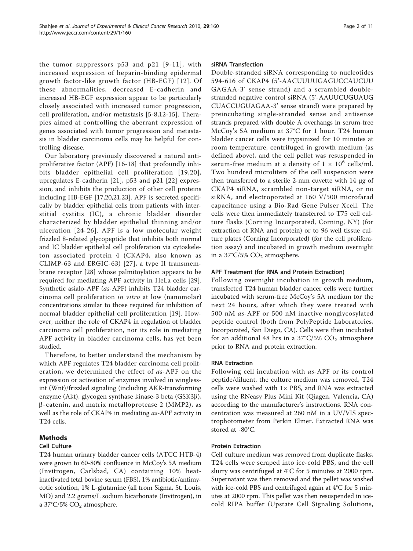the tumor suppressors p53 and p21 [[9](#page-9-0)-[11](#page-9-0)], with increased expression of heparin-binding epidermal growth factor-like growth factor (HB-EGF) [[12\]](#page-9-0). Of these abnormalities, decreased E-cadherin and increased HB-EGF expression appear to be particularly closely associated with increased tumor progression, cell proliferation, and/or metastasis [\[5](#page-9-0)-[8,12](#page-9-0)-[15](#page-9-0)]. Therapies aimed at controlling the aberrant expression of genes associated with tumor progression and metastasis in bladder carcinoma cells may be helpful for controlling disease.

Our laboratory previously discovered a natural antiproliferative factor (APF) [\[16](#page-9-0)-[18](#page-9-0)] that profoundly inhibits bladder epithelial cell proliferation [[19](#page-9-0),[20\]](#page-9-0), upregulates E-cadherin [\[21\]](#page-9-0), p53 and p21 [[22\]](#page-9-0) expression, and inhibits the production of other cell proteins including HB-EGF [\[17,20,21,23](#page-9-0)]. APF is secreted specifically by bladder epithelial cells from patients with interstitial cystitis (IC), a chronic bladder disorder characterized by bladder epithelial thinning and/or ulceration [\[24](#page-9-0)-[26](#page-9-0)]. APF is a low molecular weight frizzled 8-related glycopeptide that inhibits both normal and IC bladder epithelial cell proliferation via cytoskeleton associated protein 4 (CKAP4, also known as CLIMP-63 and ERGIC-63) [[27](#page-9-0)], a type II transmembrane receptor [[28\]](#page-9-0) whose palmitoylation appears to be required for mediating APF activity in HeLa cells [[29](#page-9-0)]. Synthetic asialo-APF (as-APF) inhibits T24 bladder carcinoma cell proliferation in vitro at low (nanomolar) concentrations similar to those required for inhibition of normal bladder epithelial cell proliferation [\[19\]](#page-9-0). However, neither the role of CKAP4 in regulation of bladder carcinoma cell proliferation, nor its role in mediating APF activity in bladder carcinoma cells, has yet been studied.

Therefore, to better understand the mechanism by which APF regulates T24 bladder carcinoma cell proliferation, we determined the effect of as-APF on the expression or activation of enzymes involved in winglessint (Wnt)/frizzled signaling (including AKR-transforming enzyme (Akt), glycogen synthase kinase-3 beta (GSK3b),  $\beta$ -catenin, and matrix metalloprotease 2 (MMP2), as well as the role of CKAP4 in mediating as-APF activity in T24 cells.

# Methods

# Cell Culture

T24 human urinary bladder cancer cells (ATCC HTB-4) were grown to 60-80% confluence in McCoy's 5A medium (Invitrogen, Carlsbad, CA) containing 10% heatinactivated fetal bovine serum (FBS), 1% antibiotic/antimycotic solution, 1% L-glutamine (all from Sigma, St. Louis, MO) and 2.2 grams/L sodium bicarbonate (Invitrogen), in a 37°C/5%  $CO<sub>2</sub>$  atmosphere.

#### siRNA Transfection

Double-stranded siRNA corresponding to nucleotides 594-616 of CKAP4 (5'-AACUUUUGAGUCCAUCUU GAGAA-3' sense strand) and a scrambled doublestranded negative control siRNA (5'-AAUUCUGUAUG CUACCUGUAGAA-3' sense strand) were prepared by preincubating single-stranded sense and antisense strands prepared with double A overhangs in serum-free McCoy's 5A medium at 37°C for 1 hour. T24 human bladder cancer cells were trypsinized for 10 minutes at room temperature, centrifuged in growth medium (as defined above), and the cell pellet was resuspended in serum-free medium at a density of  $1 \times 10^6$  cells/ml. Two hundred microliters of the cell suspension were then transferred to a sterile 2-mm cuvette with 14 μg of CKAP4 siRNA, scrambled non-target siRNA, or no siRNA, and electroporated at 160 V/500 microfarad capacitance using a Bio-Rad Gene Pulser Xcell. The cells were then immediately transferred to T75 cell culture flasks (Corning Incorporated, Corning, NY) (for extraction of RNA and protein) or to 96 well tissue culture plates (Corning Incorporated) (for the cell proliferation assay) and incubated in growth medium overnight in a 37°C/5%  $CO<sub>2</sub>$  atmosphere.

## APF Treatment (for RNA and Protein Extraction)

Following overnight incubation in growth medium, transfected T24 human bladder cancer cells were further incubated with serum-free McCoy's 5A medium for the next 24 hours, after which they were treated with 500 nM as-APF or 500 nM inactive nonglycosylated peptide control (both from PolyPeptide Laboratories, Incorporated, San Diego, CA). Cells were then incubated for an additional 48 hrs in a  $37^{\circ}$ C/5% CO<sub>2</sub> atmosphere prior to RNA and protein extraction.

#### RNA Extraction

Following cell incubation with as-APF or its control peptide/diluent, the culture medium was removed, T24 cells were washed with  $1\times$  PBS, and RNA was extracted using the RNeasy Plus Mini Kit (Qiagen, Valencia, CA) according to the manufacturer's instructions. RNA concentration was measured at 260 nM in a UV/VIS spectrophotometer from Perkin Elmer. Extracted RNA was stored at -80°C.

#### Protein Extraction

Cell culture medium was removed from duplicate flasks, T24 cells were scraped into ice-cold PBS, and the cell slurry was centrifuged at 4°C for 5 minutes at 2000 rpm. Supernatant was then removed and the pellet was washed with ice-cold PBS and centrifuged again at 4°C for 5 minutes at 2000 rpm. This pellet was then resuspended in icecold RIPA buffer (Upstate Cell Signaling Solutions,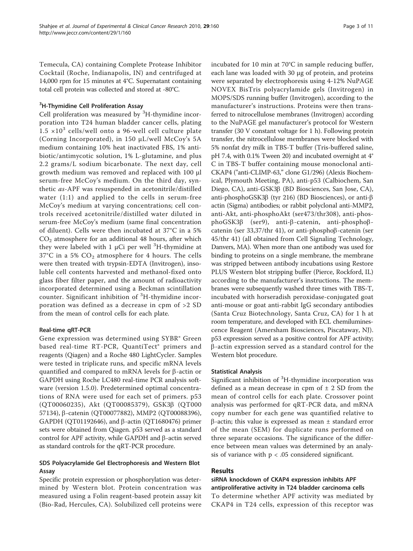Temecula, CA) containing Complete Protease Inhibitor Cocktail (Roche, Indianapolis, IN) and centrifuged at 14,000 rpm for 15 minutes at 4°C. Supernatant containing total cell protein was collected and stored at -80°C.

# <sup>3</sup>H-Thymidine Cell Proliferation Assay

Cell proliferation was measured by <sup>3</sup>H-thymidine incorporation into T24 human bladder cancer cells, plating  $1.5 \times 10^3$  cells/well onto a 96-well cell culture plate (Corning Incorporated), in 150 μL/well McCoy's 5A medium containing 10% heat inactivated FBS, 1% antibiotic/antimycotic solution, 1% L-glutamine, and plus 2.2 grams/L sodium bicarbonate. The next day, cell growth medium was removed and replaced with 100 μl serum-free McCoy's medium. On the third day, synthetic as-APF was resuspended in acetonitrile/distilled water (1:1) and applied to the cells in serum-free McCoy's medium at varying concentrations; cell controls received acetonitrile/distilled water diluted in serum-free McCoy's medium (same final concentration of diluent). Cells were then incubated at 37°C in a 5%  $CO<sub>2</sub>$  atmosphere for an additional 48 hours, after which they were labeled with 1  $\rm{\upmu Ci}$  per well  $\rm{^3H}$ -thymidine at  $37^{\circ}$ C in a 5%  $CO_2$  atmosphere for 4 hours. The cells were then treated with trypsin-EDTA (Invitrogen), insoluble cell contents harvested and methanol-fixed onto glass fiber filter paper, and the amount of radioactivity incorporated determined using a Beckman scintillation counter. Significant inhibition of <sup>3</sup>H-thymidine incorporation was defined as a decrease in cpm of >2 SD from the mean of control cells for each plate.

## Real-time qRT-PCR

Gene expression was determined using SYBR® Green based real-time RT-PCR, QuantiTect® primers and reagents (Qiagen) and a Roche 480 LightCycler. Samples were tested in triplicate runs, and specific mRNA levels quantified and compared to mRNA levels for  $\beta$ -actin or GAPDH using Roche LC480 real-time PCR analysis software (version 1.5.0). Predetermined optimal concentrations of RNA were used for each set of primers. p53 (QT00060235), Akt (QT00085379), GSK3b (QT000 57134), b-catenin (QT00077882), MMP2 (QT00088396), GAPDH (QT01192646), and  $\beta$ -actin (QT1680476) primer sets were obtained from Qiagen. p53 served as a standard control for APF activity, while GAPDH and  $\beta$ -actin served as standard controls for the qRT-PCR procedure.

# SDS Polyacrylamide Gel Electrophoresis and Western Blot Assay

Specific protein expression or phosphorylation was determined by Western blot. Protein concentration was measured using a Folin reagent-based protein assay kit (Bio-Rad, Hercules, CA). Solubilized cell proteins were incubated for 10 min at 70°C in sample reducing buffer, each lane was loaded with 30 μg of protein, and proteins were separated by electrophoresis using 4-12% NuPAGE NOVEX BisTris polyacrylamide gels (Invitrogen) in MOPS/SDS running buffer (Invitrogen), according to the manufacturer's instructions. Proteins were then transferred to nitrocellulose membranes (Invitrogen) according to the NuPAGE gel manufacturer's protocol for Western transfer (30 V constant voltage for 1 h). Following protein transfer, the nitrocellulose membranes were blocked with 5% nonfat dry milk in TBS-T buffer (Tris-buffered saline, pH 7.4, with 0.1% Tween 20) and incubated overnight at 4° C in TBS-T buffer containing mouse monoclonal anti-CKAP4 ("anti-CLIMP-63," clone G1/296) (Alexis Biochemical, Plymouth Meeting, PA), anti-p53 (Calbiochem, San Diego, CA), anti-GSK3 $\beta$  (BD Biosciences, San Jose, CA), anti-phosphoGSK3 $\beta$  (tyr 216) (BD Biosciences), or anti- $\beta$ actin (Sigma) antibodies; or rabbit polyclonal anti-MMP2, anti-Akt, anti-phosphoAkt (ser473/thr308), anti-phosphoGSK3β (ser9), anti-β-catenin, anti-phosphoβcatenin (ser  $33,37$ /thr 41), or anti-phosphoß-catenin (ser 45/thr 41) (all obtained from Cell Signaling Technology, Danvers, MA). When more than one antibody was used for binding to proteins on a single membrane, the membrane was stripped between antibody incubations using Restore PLUS Western blot stripping buffer (Pierce, Rockford, IL) according to the manufacturer's instructions. The membranes were subsequently washed three times with TBS-T, incubated with horseradish peroxidase-conjugated goat anti-mouse or goat anti-rabbit IgG secondary antibodies (Santa Cruz Biotechnology, Santa Cruz, CA) for 1 h at room temperature, and developed with ECL chemiluminescence Reagent (Amersham Biosciences, Piscataway, NJ). p53 expression served as a positive control for APF activity;  $\beta$ -actin expression served as a standard control for the Western blot procedure.

## Statistical Analysis

Significant inhibition of <sup>3</sup>H-thymidine incorporation was defined as a mean decrease in cpm of  $\pm$  2 SD from the mean of control cells for each plate. Crossover point analysis was performed for qRT-PCR data, and mRNA copy number for each gene was quantified relative to  $\beta$ -actin; this value is expressed as mean  $\pm$  standard error of the mean (SEM) for duplicate runs performed on three separate occasions. The significance of the difference between mean values was determined by an analysis of variance with  $p < .05$  considered significant.

#### Results

# siRNA knockdown of CKAP4 expression inhibits APF antiproliferative activity in T24 bladder carcinoma cells To determine whether APF activity was mediated by CKAP4 in T24 cells, expression of this receptor was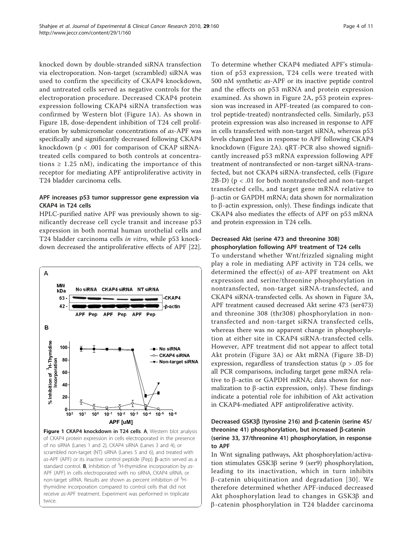knocked down by double-stranded siRNA transfection via electroporation. Non-target (scrambled) siRNA was used to confirm the specificity of CKAP4 knockdown, and untreated cells served as negative controls for the electroporation procedure. Decreased CKAP4 protein expression following CKAP4 siRNA transfection was confirmed by Western blot (Figure 1A). As shown in Figure 1B, dose-dependent inhibition of T24 cell proliferation by submicromolar concentrations of as-APF was specifically and significantly decreased following CKAP4 knockdown (p < .001 for comparison of CKAP siRNAtreated cells compared to both controls at concentrations  $\geq$  1.25 nM), indicating the importance of this receptor for mediating APF antiproliferative activity in T24 bladder carcinoma cells.

# APF increases p53 tumor suppressor gene expression via CKAP4 in T24 cells

HPLC-purified native APF was previously shown to significantly decrease cell cycle transit and increase p53 expression in both normal human urothelial cells and T24 bladder carcinoma cells in vitro, while p53 knockdown decreased the antiproliferative effects of APF [\[22](#page-9-0)].



Figure 1 CKAP4 knockdown in T24 cells. A, Western blot analysis of CKAP4 protein expression in cells electroporated in the presence of no siRNA (Lanes 1 and 2), CKAP4 siRNA (Lanes 3 and 4), or scrambled non-target (NT) siRNA (Lanes 5 and 6), and treated with  $as$ -APF (APF) or its inactive control peptide (Pep).  $\beta$ -actin served as a standard control. **B**, Inhibition of  ${}^{3}$ H-thymidine incorporation by as-APF (APF) in cells electroporated with no siRNA, CKAP4 siRNA, or non-target siRNA. Results are shown as percent inhibition of <sup>3</sup>Hthymidine incorporation compared to control cells that did not receive as-APF treatment. Experiment was performed in triplicate twice.

To determine whether CKAP4 mediated APF's stimulation of p53 expression, T24 cells were treated with 500 nM synthetic as-APF or its inactive peptide control and the effects on p53 mRNA and protein expression examined. As shown in Figure [2A](#page-4-0), p53 protein expression was increased in APF-treated (as compared to control peptide-treated) nontransfected cells. Similarly, p53 protein expression was also increased in response to APF in cells transfected with non-target siRNA, whereas p53 levels changed less in response to APF following CKAP4 knockdown (Figure [2A](#page-4-0)). qRT-PCR also showed significantly increased p53 mRNA expression following APF treatment of nontransfected or non-target siRNA-transfected, but not CKAP4 siRNA-transfected, cells (Figure [2B-D](#page-4-0)) ( $p < .01$  for both nontransfected and non-target transfected cells, and target gene mRNA relative to b-actin or GAPDH mRNA; data shown for normalization to  $\beta$ -actin expression, only). These findings indicate that CKAP4 also mediates the effects of APF on p53 mRNA and protein expression in T24 cells.

## Decreased Akt (serine 473 and threonine 308) phosphorylation following APF treatment of T24 cells

To understand whether Wnt/frizzled signaling might play a role in mediating APF activity in T24 cells, we determined the effect(s) of as-APF treatment on Akt expression and serine/threonine phosphorylation in nontransfected, non-target siRNA-transfected, and CKAP4 siRNA-transfected cells. As shown in Figure [3A](#page-5-0), APF treatment caused decreased Akt serine 473 (ser473) and threonine 308 (thr308) phosphorylation in nontransfected and non-target siRNA transfected cells, whereas there was no apparent change in phosphorylation at either site in CKAP4 siRNA-transfected cells. However, APF treatment did not appear to affect total Akt protein (Figure [3A\)](#page-5-0) or Akt mRNA (Figure [3B-D](#page-5-0)) expression, regardless of transfection status (p > .05 for all PCR comparisons, including target gene mRNA relative to  $\beta$ -actin or GAPDH mRNA; data shown for normalization to  $\beta$ -actin expression, only). These findings indicate a potential role for inhibition of Akt activation in CKAP4-mediated APF antiproliferative activity.

# Decreased GSK3 $\beta$  (tyrosine 216) and  $\beta$ -catenin (serine 45/ threonine 41) phosphorylation, but increased  $\beta$ -catenin (serine 33, 37/threonine 41) phosphorylation, in response to APF

In Wnt signaling pathways, Akt phosphorylation/activation stimulates GSK3β serine 9 (ser9) phosphorylation, leading to its inactivation, which in turn inhibits  $\beta$ -catenin ubiquitination and degradation [[30](#page-9-0)]. We therefore determined whether APF-induced decreased Akt phosphorylation lead to changes in  $GSK3\beta$  and  $\beta$ -catenin phosphorylation in T24 bladder carcinoma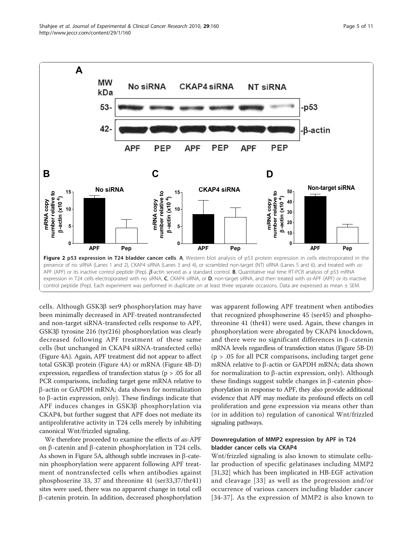<span id="page-4-0"></span>

cells. Although GSK3 $\beta$  ser9 phosphorylation may have been minimally decreased in APF-treated nontransfected and non-target siRNA-transfected cells response to APF, GSK3β tyrosine 216 (tyr216) phosphorylation was clearly decreased following APF treatment of these same cells (but unchanged in CKAP4 siRNA-transfected cells) (Figure [4A](#page-6-0)). Again, APF treatment did not appear to affect total GSK3b protein (Figure [4A](#page-6-0)) or mRNA (Figure [4B-D](#page-6-0)) expression, regardless of transfection status (p > .05 for all PCR comparisons, including target gene mRNA relative to b-actin or GAPDH mRNA; data shown for normalization to  $\beta$ -actin expression, only). These findings indicate that APF induces changes in GSK3ß phosphorylation via CKAP4, but further suggest that APF does not mediate its antiproliferative activity in T24 cells merely by inhibiting canonical Wnt/frizzled signaling.

We therefore proceeded to examine the effects of *as*-APF on  $\beta$ -catenin and  $\beta$ -catenin phosphorylation in T24 cells. As shown in Figure [5A](#page-7-0), although subtle increases in  $\beta$ -catenin phosphorylation were apparent following APF treatment of nontransfected cells when antibodies against phosphoserine 33, 37 and threonine 41 (ser33,37/thr41) sites were used, there was no apparent change in total cell b-catenin protein. In addition, decreased phosphorylation was apparent following APF treatment when antibodies that recognized phosphoserine 45 (ser45) and phosphothreonine 41 (thr41) were used. Again, these changes in phosphorylation were abrogated by CKAP4 knockdown, and there were no significant differences in  $\beta$ -catenin mRNA levels regardless of transfection status (Figure [5B-D](#page-7-0))  $(p > .05$  for all PCR comparisons, including target gene mRNA relative to  $\beta$ -actin or GAPDH mRNA; data shown for normalization to  $\beta$ -actin expression, only). Although these findings suggest subtle changes in  $\beta$ -catenin phosphorylation in response to APF, they also provide additional evidence that APF may mediate its profound effects on cell proliferation and gene expression via means other than (or in addition to) regulation of canonical Wnt/frizzled signaling pathways.

## Downregulation of MMP2 expression by APF in T24 bladder cancer cells via CKAP4

Wnt/frizzled signaling is also known to stimulate cellular production of specific gelatinases including MMP2 [[31,32\]](#page-9-0) which has been implicated in HB-EGF activation and cleavage [\[33](#page-9-0)] as well as the progression and/or occurrence of various cancers including bladder cancer [[34](#page-10-0)-[37](#page-10-0)]. As the expression of MMP2 is also known to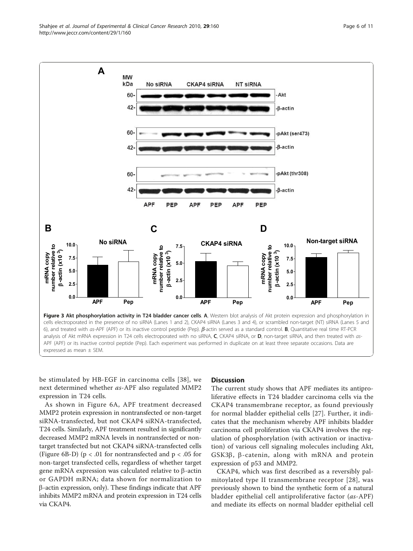be stimulated by HB-EGF in carcinoma cells [\[38\]](#page-10-0), we next determined whether as-APF also regulated MMP2 expression in T24 cells.

As shown in Figure [6A,](#page-8-0) APF treatment decreased MMP2 protein expression in nontransfected or non-target siRNA-transfected, but not CKAP4 siRNA-transfected, T24 cells. Similarly, APF treatment resulted in significantly decreased MMP2 mRNA levels in nontransfected or nontarget transfected but not CKAP4 siRNA-transfected cells (Figure [6B-D](#page-8-0)) ( $p < .01$  for nontransfected and  $p < .05$  for non-target transfected cells, regardless of whether target gene mRNA expression was calculated relative to  $\beta$ -actin or GAPDH mRNA; data shown for normalization to  $\beta$ -actin expression, only). These findings indicate that APF inhibits MMP2 mRNA and protein expression in T24 cells via CKAP4.

## **Discussion**

NT SIRNA

Akt

 $-*Bar*$ 

-B-actin

 $-**β**-actin$ 

-pAkt (ser473)

-pAkt (thr308)

The current study shows that APF mediates its antiproliferative effects in T24 bladder carcinoma cells via the CKAP4 transmembrane receptor, as found previously for normal bladder epithelial cells [[27\]](#page-9-0). Further, it indicates that the mechanism whereby APF inhibits bladder carcinoma cell proliferation via CKAP4 involves the regulation of phosphorylation (with activation or inactivation) of various cell signaling molecules including Akt,  $GSK3\beta$ ,  $\beta$ -catenin, along with mRNA and protein expression of p53 and MMP2.

CKAP4, which was first described as a reversibly palmitoylated type II transmembrane receptor [[28](#page-9-0)], was previously shown to bind the synthetic form of a natural bladder epithelial cell antiproliferative factor (as-APF) and mediate its effects on normal bladder epithelial cell



**CKAP4 SIRNA** 

**MW** kDa

> 60  $42$

60

 $42<sup>°</sup>$ 

60

 $42<sub>1</sub>$ 

No siRNA

<span id="page-5-0"></span>**A**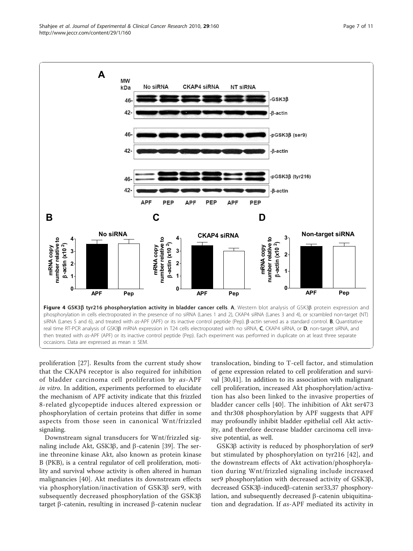proliferation [[27\]](#page-9-0). Results from the current study show that the CKAP4 receptor is also required for inhibition of bladder carcinoma cell proliferation by as-APF in vitro. In addition, experiments performed to elucidate the mechanism of APF activity indicate that this frizzled 8-related glycopeptide induces altered expression or phosphorylation of certain proteins that differ in some aspects from those seen in canonical Wnt/frizzled signaling.

Downstream signal transducers for Wnt/frizzled signaling include Akt, GSK3 $\beta$ , and  $\beta$ -catenin [[39\]](#page-10-0). The serine threonine kinase Akt, also known as protein kinase B (PKB), is a central regulator of cell proliferation, motility and survival whose activity is often altered in human malignancies [[40\]](#page-10-0). Akt mediates its downstream effects via phosphorylation/inactivation of GSK3b ser9, with subsequently decreased phosphorylation of the GSK3b target  $\beta$ -catenin, resulting in increased  $\beta$ -catenin nuclear

translocation, binding to T-cell factor, and stimulation of gene expression related to cell proliferation and survival [[30,](#page-9-0)[41\]](#page-10-0). In addition to its association with malignant cell proliferation, increased Akt phosphorylation/activation has also been linked to the invasive properties of bladder cancer cells [\[40](#page-10-0)]. The inhibition of Akt ser473 and thr308 phosphorylation by APF suggests that APF may profoundly inhibit bladder epithelial cell Akt activity, and therefore decrease bladder carcinoma cell invasive potential, as well.

GSK3 $\beta$  activity is reduced by phosphorylation of ser9 but stimulated by phosphorylation on tyr216 [[42](#page-10-0)], and the downstream effects of Akt activation/phosphorylation during Wnt/frizzled signaling include increased ser9 phosphorylation with decreased activity of GSK3b, decreased GSK3β-inducedβ-catenin ser33,37 phosphorylation, and subsequently decreased  $\beta$ -catenin ubiquitination and degradation. If as-APF mediated its activity in

<span id="page-6-0"></span>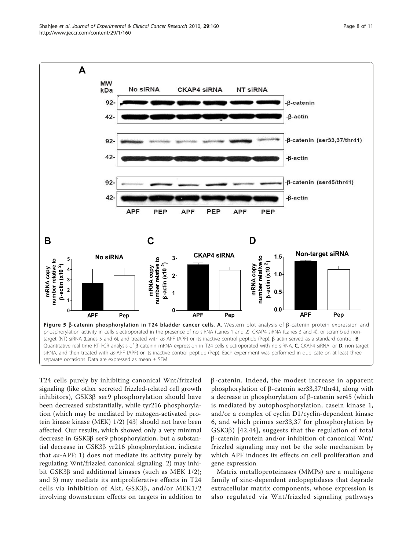<span id="page-7-0"></span>

T24 cells purely by inhibiting canonical Wnt/frizzled signaling (like other secreted frizzled-related cell growth inhibitors),  $GSK3\beta$  ser9 phosphorylation should have been decreased substantially, while tyr216 phosphorylation (which may be mediated by mitogen-activated protein kinase kinase (MEK) 1/2) [\[43\]](#page-10-0) should not have been affected. Our results, which showed only a very minimal decrease in GSK3b ser9 phosphorylation, but a substantial decrease in GSK3ß yr216 phosphorylation, indicate that as-APF: 1) does not mediate its activity purely by regulating Wnt/frizzled canonical signaling; 2) may inhibit GSK3 $\beta$  and additional kinases (such as MEK 1/2); and 3) may mediate its antiproliferative effects in T24 cells via inhibition of Akt, GSK3 $\beta$ , and/or MEK1/2 involving downstream effects on targets in addition to  $\beta$ -catenin. Indeed, the modest increase in apparent phosphorylation of  $\beta$ -catenin ser33,37/thr41, along with a decrease in phosphorylation of  $\beta$ -catenin ser45 (which is mediated by autophosphorylation, casein kinase 1, and/or a complex of cyclin D1/cyclin-dependent kinase 6, and which primes ser33,37 for phosphorylation by  $GSK3\beta$ ) [[42,44\]](#page-10-0), suggests that the regulation of total b-catenin protein and/or inhibition of canonical Wnt/ frizzled signaling may not be the sole mechanism by which APF induces its effects on cell proliferation and gene expression.

Matrix metalloproteinases (MMPs) are a multigene family of zinc-dependent endopeptidases that degrade extracellular matrix components, whose expression is also regulated via Wnt/frizzled signaling pathways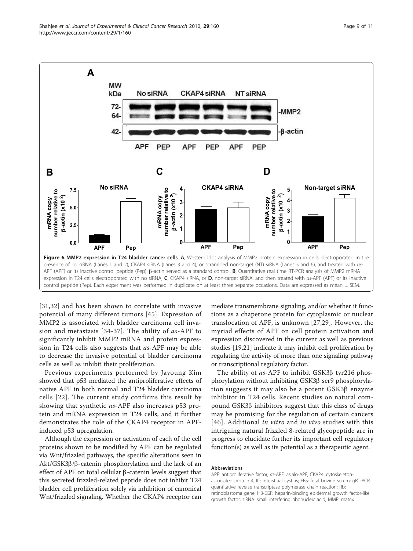<span id="page-8-0"></span>

[[31](#page-9-0),[32\]](#page-9-0) and has been shown to correlate with invasive potential of many different tumors [\[45\]](#page-10-0). Expression of MMP2 is associated with bladder carcinoma cell invasion and metastasis [\[34-37](#page-10-0)]. The ability of as-APF to significantly inhibit MMP2 mRNA and protein expression in T24 cells also suggests that as-APF may be able to decrease the invasive potential of bladder carcinoma cells as well as inhibit their proliferation.

Previous experiments performed by Jayoung Kim showed that p53 mediated the antiproliferative effects of native APF in both normal and T24 bladder carcinoma cells [[22](#page-9-0)]. The current study confirms this result by showing that synthetic as-APF also increases p53 protein and mRNA expression in T24 cells, and it further demonstrates the role of the CKAP4 receptor in APFinduced p53 upregulation.

Although the expression or activation of each of the cell proteins shown to be modified by APF can be regulated via Wnt/frizzled pathways, the specific alterations seen in  $\text{Akt}/\text{GSK3}\beta/\beta$ -catenin phosphorylation and the lack of an effect of APF on total cellular  $\beta$ -catenin levels suggest that this secreted frizzled-related peptide does not inhibit T24 bladder cell proliferation solely via inhibition of canonical Wnt/frizzled signaling. Whether the CKAP4 receptor can mediate transmembrane signaling, and/or whether it functions as a chaperone protein for cytoplasmic or nuclear translocation of APF, is unknown [[27,29](#page-9-0)]. However, the myriad effects of APF on cell protein activation and expression discovered in the current as well as previous studies [[19,21\]](#page-9-0) indicate it may inhibit cell proliferation by regulating the activity of more than one signaling pathway or transcriptional regulatory factor.

The ability of as-APF to inhibit GSK3B tyr216 phosphorylation without inhibiting GSK3ß ser9 phosphorylation suggests it may also be a potent GSK3b enzyme inhibitor in T24 cells. Recent studies on natural compound GSK3 $\beta$  inhibitors suggest that this class of drugs may be promising for the regulation of certain cancers [[46\]](#page-10-0). Additional in vitro and in vivo studies with this intriguing natural frizzled 8-related glycopeptide are in progress to elucidate further its important cell regulatory function(s) as well as its potential as a therapeutic agent.

#### Abbreviations

APF: antiproliferative factor; as-APF: asialo-APF; CKAP4: cytoskeletonassociated protein 4; IC: interstitial cystitis; FBS: fetal bovine serum; qRT-PCR: quantitative reverse transcriptase polymerase chain reaction; Rb: retinoblastoma gene; HB-EGF: heparin-binding epidermal growth factor-like growth factor; siRNA: small interfering ribonucleic acid; MMP: matrix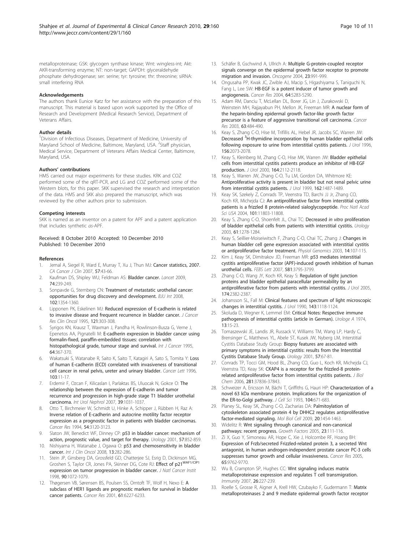#### <span id="page-9-0"></span>Acknowledgements

The authors thank Eunice Katz for her assistance with the preparation of this manuscript. This material is based upon work supported by the Office of Research and Development (Medical Research Service), Department of Veterans Affairs.

#### Author details

<sup>1</sup>Division of Infectious Diseases, Department of Medicine, University of Maryland School of Medicine, Baltimore, Maryland, USA. <sup>2</sup>Staff physician, Medical Service, Department of Veterans Affairs Medical Center, Baltimore, Maryland, USA.

#### Authors' contributions

HMS carried out major experiments for these studies. KRK and COZ performed some of the qRT-PCR, and LG and COZ performed some of the Western blots, for this paper. SKK supervised the research and interpretation of the data. HMS and SKK also prepared the manuscript, which was reviewed by the other authors prior to submission.

#### Competing interests

SKK is named as an inventor on a patent for APF and a patent application that includes synthetic as-APF.

#### Received: 8 October 2010 Accepted: 10 December 2010 Published: 10 December 2010

#### References

- 1. Jemal A, Siegel R, Ward E, Murray T, Xu J, Thun MJ: [Cancer statistics, 2007.](http://www.ncbi.nlm.nih.gov/pubmed/17237035?dopt=Abstract) CA Cancer J Clin 2007, 57:43-66.
- 2. Kaufman DS, Shipley WU, Feldman AS: Bladder cancer. Lancet 2009, 74:239-249.
- Sonpavde G, Sternberg CN: [Treatment of metastatic urothelial cancer:](http://www.ncbi.nlm.nih.gov/pubmed/19035904?dopt=Abstract) [opportunities for drug discovery and development.](http://www.ncbi.nlm.nih.gov/pubmed/19035904?dopt=Abstract) BJU Int 2008, 102:1354-1360.
- 4. Lipponen PK, Eskelinen MJ: [Reduced expression of E-cadherin is related](http://www.ncbi.nlm.nih.gov/pubmed/7768969?dopt=Abstract) [to invasive disease and frequent recurrence in bladder cancer.](http://www.ncbi.nlm.nih.gov/pubmed/7768969?dopt=Abstract) J Cancer Res Clin Oncol 1995, 121:303-308.
- Syrigos KN, Krausz T, Waxman J, Pandha H, Rowlinson-Busza G, Verne J, Epenetos AA, Pignatelli M: [E-cadherin expression in bladder cancer using](http://www.ncbi.nlm.nih.gov/pubmed/8550236?dopt=Abstract) [formalin-fixed, paraffin-embedded tissues: correlation with](http://www.ncbi.nlm.nih.gov/pubmed/8550236?dopt=Abstract) [histopathological grade, tumour stage and survival.](http://www.ncbi.nlm.nih.gov/pubmed/8550236?dopt=Abstract) Int J Cancer 1995, 64:367-370.
- Wakatsuki S, Watanabe R, Saito K, Saito T, Katagiri A, Sato S, Tomita Y: [Loss](http://www.ncbi.nlm.nih.gov/pubmed/8616803?dopt=Abstract) [of human E-cadherin \(ECD\) correlated with invasiveness of transitional](http://www.ncbi.nlm.nih.gov/pubmed/8616803?dopt=Abstract) [cell cancer in renal pelvis, ureter and urinary bladder.](http://www.ncbi.nlm.nih.gov/pubmed/8616803?dopt=Abstract) Cancer Lett 1996, 103:11-17.
- 7. Erdemir F, Ozcan F, Kilicaslan I, Parlaktas BS, Uluocak N, Gokce O: [The](http://www.ncbi.nlm.nih.gov/pubmed/17340210?dopt=Abstract) [relationship between the expression of E-cadherin and tumor](http://www.ncbi.nlm.nih.gov/pubmed/17340210?dopt=Abstract) [recurrence and progression in high-grade stage T1 bladder urothelial](http://www.ncbi.nlm.nih.gov/pubmed/17340210?dopt=Abstract) [carcinoma.](http://www.ncbi.nlm.nih.gov/pubmed/17340210?dopt=Abstract) Int Urol Nephrol 2007, 39:1031-1037.
- 8. Otto T, Birchmeier W, Schmidt U, Hinke A, Schipper J, Rübben H, Raz A: [Inverse relation of E-cadherin and autocrine motility factor receptor](http://www.ncbi.nlm.nih.gov/pubmed/8205527?dopt=Abstract) [expression as a prognostic factor in patients with bladder carcinomas.](http://www.ncbi.nlm.nih.gov/pubmed/8205527?dopt=Abstract) Cancer Res 1994, 54:3120-3123.
- 9. Slaton JW, Benedict WF, Dinney CP: [p53 in bladder cancer: mechanism of](http://www.ncbi.nlm.nih.gov/pubmed/11337281?dopt=Abstract) [action, prognostic value, and target for therapy.](http://www.ncbi.nlm.nih.gov/pubmed/11337281?dopt=Abstract) Urology 2001, 57:852-859.
- 10. Nishiyama H, Watanabe J, Ogawa O: [p53 and chemosensitivity in bladder](http://www.ncbi.nlm.nih.gov/pubmed/18704627?dopt=Abstract) [cancer.](http://www.ncbi.nlm.nih.gov/pubmed/18704627?dopt=Abstract) Int J Clin Oncol 2008, 13:282-286.
- 11. Stein JP, Ginsberg DA, Grossfeld GD, Chatterjee SJ, Esrig D, Dickinson MG, Groshen S, Taylor CR, Jones PA, Skinner DG, Cote RJ: Effect of p21WAF1/CIP1 expression on tumor progression in bladder cancer. J Natl Cancer Instit 1998, 90:1072-1079.
- 12. Thøgersen VB, Sørensen BS, Poulsen SS, Orntoft TF, Wolf H, Nexo E: [A](http://www.ncbi.nlm.nih.gov/pubmed/11507076?dopt=Abstract) [subclass of HER1 ligands are prognostic markers for survival in bladder](http://www.ncbi.nlm.nih.gov/pubmed/11507076?dopt=Abstract) [cancer patients.](http://www.ncbi.nlm.nih.gov/pubmed/11507076?dopt=Abstract) Cancer Res 2001, 61:6227-6233.
- 13. Schäfer B, Gschwind A, Ullrich A: [Multiple G-protein-coupled receptor](http://www.ncbi.nlm.nih.gov/pubmed/14647423?dopt=Abstract) [signals converge on the epidermal growth factor receptor to promote](http://www.ncbi.nlm.nih.gov/pubmed/14647423?dopt=Abstract) [migration and invasion.](http://www.ncbi.nlm.nih.gov/pubmed/14647423?dopt=Abstract) Oncogene 2004, 23:991-999.
- 14. Ongusaha PP, Kwak JC, Zwible AJ, Macip S, Higashiyama S, Taniguchi N, Fang L, Lee SW: [HB-EGF is a potent inducer of tumor growth and](http://www.ncbi.nlm.nih.gov/pubmed/15289334?dopt=Abstract) [angiogenesis.](http://www.ncbi.nlm.nih.gov/pubmed/15289334?dopt=Abstract) Cancer Res 2004, 64:5283-5290.
- 15. Adam RM, Danciu T, McLellan DL, Borer JG, Lin J, Zurakowski D, Weinstein MH, Rajjayabun PH, Mellon JK, Freeman MR: [A nuclear form of](http://www.ncbi.nlm.nih.gov/pubmed/12543806?dopt=Abstract) [the heparin-binding epidermal growth factor-like growth factor](http://www.ncbi.nlm.nih.gov/pubmed/12543806?dopt=Abstract) [precursor is a feature of aggressive transitional cell carcinoma.](http://www.ncbi.nlm.nih.gov/pubmed/12543806?dopt=Abstract) Cancer Res 2003, 63:484-490.
- 16. Keay S, Zhang C-O, Hise M, Trifillis AL, Hebel JR, Jacobs SC, Warren JW: [Decreased](http://www.ncbi.nlm.nih.gov/pubmed/8911393?dopt=Abstract) <sup>3</sup>[H-thymidine incorporation by human bladder epithelial cells](http://www.ncbi.nlm.nih.gov/pubmed/8911393?dopt=Abstract) [following exposure to urine from interstitial cystitis patients.](http://www.ncbi.nlm.nih.gov/pubmed/8911393?dopt=Abstract) J Urol 1996, 156:2073-2078.
- 17. Keay S, Kleinberg M, Zhang C-O, Hise MK, Warren JW: [Bladder epithelial](http://www.ncbi.nlm.nih.gov/pubmed/11061938?dopt=Abstract) [cells from interstitial cystitis patients produce an inhibitor of HB-EGF](http://www.ncbi.nlm.nih.gov/pubmed/11061938?dopt=Abstract) [production.](http://www.ncbi.nlm.nih.gov/pubmed/11061938?dopt=Abstract) J Urol 2000, 164:2112-2118.
- Keay S, Warren JW, Zhang C-O, Tu LM, Gordon DA, Whitmore KE: [Antiproliferative activity is present in bladder but not renal pelvic urine](http://www.ncbi.nlm.nih.gov/pubmed/10492242?dopt=Abstract) [from interstitial cystitis patients.](http://www.ncbi.nlm.nih.gov/pubmed/10492242?dopt=Abstract) J Urol 1999, 162:1487-1489.
- 19. Keay SK, Szekely Z, Conrads TP, Veenstra TD, Barchi JJ Jr, Zhang CO, Koch KR, Michejda CJ: [An antiproliferative factor from interstitial cystitis](http://www.ncbi.nlm.nih.gov/pubmed/15282374?dopt=Abstract) [patients is a frizzled 8 protein-related sialoglycopeptide.](http://www.ncbi.nlm.nih.gov/pubmed/15282374?dopt=Abstract) Proc Natl Acad Sci USA 2004, 101:11803-11808.
- 20. Keay S, Zhang C-O, Shoenfelt JL, Chai TC: Decreased in vitro [proliferation](http://www.ncbi.nlm.nih.gov/pubmed/12809929?dopt=Abstract) [of bladder epithelial cells from patients with interstitial cystitis.](http://www.ncbi.nlm.nih.gov/pubmed/12809929?dopt=Abstract) Urology 2003, 61:1278-1284.
- 21. Keay S, Seillier-Moiseiwitsch F, Zhang C-O, Chai TC, Zhang J: [Changes in](http://www.ncbi.nlm.nih.gov/pubmed/12847144?dopt=Abstract) [human bladder cell gene expression associated with interstitial cystitis](http://www.ncbi.nlm.nih.gov/pubmed/12847144?dopt=Abstract) [or antiproliferative factor treatment.](http://www.ncbi.nlm.nih.gov/pubmed/12847144?dopt=Abstract) Physiol Genomics 2003, 14:107-115.
- 22. Kim J, Keay SK, Dimitrakov JD, Freeman MR: [p53 mediates interstitial](http://www.ncbi.nlm.nih.gov/pubmed/17628545?dopt=Abstract) [cystitis antiproliferative factor \(APF\)-induced growth inhibition of human](http://www.ncbi.nlm.nih.gov/pubmed/17628545?dopt=Abstract) [urothelial cells.](http://www.ncbi.nlm.nih.gov/pubmed/17628545?dopt=Abstract) FEBS Lett 2007, 581:3795-3799.
- 23. Zhang C-O, Wang JY, Koch KR, Keay S: [Regulation of tight junction](http://www.ncbi.nlm.nih.gov/pubmed/16280852?dopt=Abstract) [proteins and bladder epithelial paracellular permeability by an](http://www.ncbi.nlm.nih.gov/pubmed/16280852?dopt=Abstract) [antiproliferative factor from patients with interstitial cystitis.](http://www.ncbi.nlm.nih.gov/pubmed/16280852?dopt=Abstract) J Urol 2005, 174:2382-2387.
- 24. Johansson SL, Fall M: [Clinical features and spectrum of light microscopic](http://www.ncbi.nlm.nih.gov/pubmed/2342171?dopt=Abstract) [changes in interstitial cystitis.](http://www.ncbi.nlm.nih.gov/pubmed/2342171?dopt=Abstract) J Urol 1990, 143:1118-1124.
- 25. Skoluda D, Wegner K, Lemmel EM: [Critical Notes: Respective immune](http://www.ncbi.nlm.nih.gov/pubmed/4596210?dopt=Abstract) [pathogenesis of interstitial cystitis \(article in German\).](http://www.ncbi.nlm.nih.gov/pubmed/4596210?dopt=Abstract) Urologe A 1974, 13:15-23.
- 26. Tomaszewski JE, Landis JR, Russack V, Williams TM, Wang LP, Hardy C, Brensinger C, Matthews YL, Abele ST, Kusek JW, Nyberg LM, Interstitial Cystitis Database Study Group: [Biopsy features are associated with](http://www.ncbi.nlm.nih.gov/pubmed/11378053?dopt=Abstract) [primary symptoms in interstitial cystitis: results from the Interstitial](http://www.ncbi.nlm.nih.gov/pubmed/11378053?dopt=Abstract) [Cystitis Database Study Group.](http://www.ncbi.nlm.nih.gov/pubmed/11378053?dopt=Abstract) Urology 2001, 57:67-81.
- 27. Conrads TP, Tocci GM, Hood BL, Zhang CO, Guo L, Koch KR, Michejda CJ, Veenstra TD, Keay SK: [CKAP4 is a receptor for the frizzled-8 protein](http://www.ncbi.nlm.nih.gov/pubmed/17030514?dopt=Abstract)[related antiproliferative factor from interstitial cystitis patients.](http://www.ncbi.nlm.nih.gov/pubmed/17030514?dopt=Abstract) J Biol Chem 2006, 281:37836-37843.
- 28. Schweizer A, Ericsson M, Bächi T, Griffiths G, Hauri HP: [Characterization of a](http://www.ncbi.nlm.nih.gov/pubmed/8314869?dopt=Abstract) [novel 63 kDa membrane protein. Implications for the organization of](http://www.ncbi.nlm.nih.gov/pubmed/8314869?dopt=Abstract) [the ER-to-Golgi pathway.](http://www.ncbi.nlm.nih.gov/pubmed/8314869?dopt=Abstract) J Cell Sci 1993, 104:671-683.
- 29. Planey SL, Keay SK, Zhang C-O, Zacharias DA: [Palmitoylation of](http://www.ncbi.nlm.nih.gov/pubmed/19144824?dopt=Abstract) [cytoskeleton associated protein 4 by DHHC2 regulates antiproliferative](http://www.ncbi.nlm.nih.gov/pubmed/19144824?dopt=Abstract) [factor-mediated signaling.](http://www.ncbi.nlm.nih.gov/pubmed/19144824?dopt=Abstract) Mol Biol Cell 2009, 20:1454-1463.
- 30. Widelitz R: [Wnt signaling through canonical and non-canonical](http://www.ncbi.nlm.nih.gov/pubmed/16019432?dopt=Abstract) [pathways: recent progress.](http://www.ncbi.nlm.nih.gov/pubmed/16019432?dopt=Abstract) Growth Factors 2005, 23:111-116.
- 31. Zi X, Guo Y, Simoneau AR, Hope C, Xie J, Holcombe RF, Hoang BH: [Expression of Frzb/secreted Frizzled-related protein 3, a secreted Wnt](http://www.ncbi.nlm.nih.gov/pubmed/16266997?dopt=Abstract) [antagonist, in human androgen-independent prostate cancer PC-3 cells](http://www.ncbi.nlm.nih.gov/pubmed/16266997?dopt=Abstract) [suppresses tumor growth and cellular invasiveness.](http://www.ncbi.nlm.nih.gov/pubmed/16266997?dopt=Abstract) Cancer Res 2005, 65:9762-9770.
- 32. Wu B, Crampton SP, Hughes CC: [Wnt signaling induces matrix](http://www.ncbi.nlm.nih.gov/pubmed/17306568?dopt=Abstract) [metalloproteinase expression and regulates T cell transmigration.](http://www.ncbi.nlm.nih.gov/pubmed/17306568?dopt=Abstract) Immunity 2007, 26:227-239.
- 33. Roelle S, Grosse R, Aigner A, Krell HW, Czubayko F, Gudermann T: [Matrix](http://www.ncbi.nlm.nih.gov/pubmed/12963732?dopt=Abstract) [metalloproteinases 2 and 9 mediate epidermal growth factor receptor](http://www.ncbi.nlm.nih.gov/pubmed/12963732?dopt=Abstract)